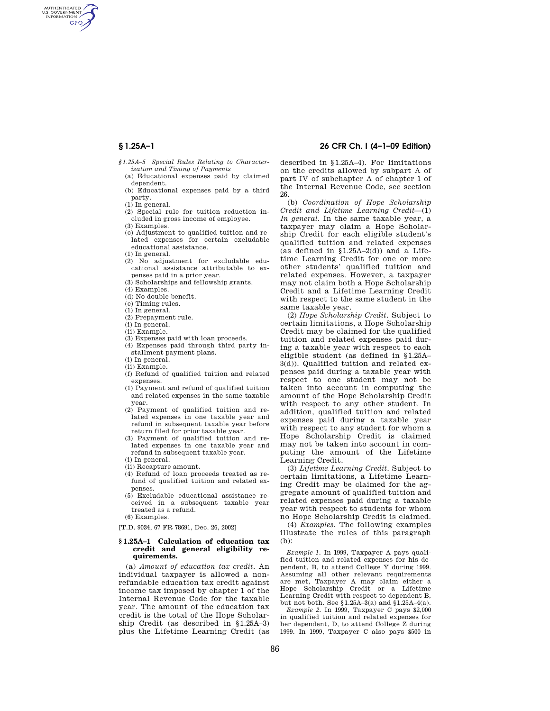AUTHENTICATED<br>U.S. GOVERNMENT<br>INFORMATION **GPO** 

- *§1.25A–5 Special Rules Relating to Characterization and Timing of Payments*  (a) Educational expenses paid by claimed
	- dependent. (b) Educational expenses paid by a third
	- party.
	- (1) In general.
	- (2) Special rule for tuition reduction included in gross income of employee.
	- (3) Examples.
	- (c) Adjustment to qualified tuition and related expenses for certain excludable educational assistance.
	- (1) In general.
- (2) No adjustment for excludable educational assistance attributable to expenses paid in a prior year.
- (3) Scholarships and fellowship grants.
- (4) Examples.
- (d) No double benefit.
- (e) Timing rules.
- (1) In general.
- (2) Prepayment rule.
- (i) In general.
- (ii) Example.
- (3) Expenses paid with loan proceeds.
- (4) Expenses paid through third party installment payment plans.
- (i) In general.
- (ii) Example.
- (f) Refund of qualified tuition and related expenses.
- (1) Payment and refund of qualified tuition and related expenses in the same taxable year.
- (2) Payment of qualified tuition and related expenses in one taxable year and refund in subsequent taxable year before return filed for prior taxable year.
- (3) Payment of qualified tuition and related expenses in one taxable year and refund in subsequent taxable year.
- (i) In general.
- (ii) Recapture amount.
- (4) Refund of loan proceeds treated as refund of qualified tuition and related expenses.
- (5) Excludable educational assistance received in a subsequent taxable year treated as a refund.
- (6) Examples.

[T.D. 9034, 67 FR 78691, Dec. 26, 2002]

### **§ 1.25A–1 Calculation of education tax credit and general eligibility requirements.**

(a) *Amount of education tax credit.* An individual taxpayer is allowed a nonrefundable education tax credit against income tax imposed by chapter 1 of the Internal Revenue Code for the taxable year. The amount of the education tax credit is the total of the Hope Scholarship Credit (as described in §1.25A–3) plus the Lifetime Learning Credit (as

# **§ 1.25A–1 26 CFR Ch. I (4–1–09 Edition)**

described in §1.25A–4). For limitations on the credits allowed by subpart A of part IV of subchapter A of chapter 1 of the Internal Revenue Code, see section 26.

(b) *Coordination of Hope Scholarship Credit and Lifetime Learning Credit*—(1) *In general.* In the same taxable year, a taxpayer may claim a Hope Scholarship Credit for each eligible student's qualified tuition and related expenses (as defined in  $$1.25A-2(d)$ ) and a Lifetime Learning Credit for one or more other students' qualified tuition and related expenses. However, a taxpayer may not claim both a Hope Scholarship Credit and a Lifetime Learning Credit with respect to the same student in the same taxable year.

(2) *Hope Scholarship Credit.* Subject to certain limitations, a Hope Scholarship Credit may be claimed for the qualified tuition and related expenses paid during a taxable year with respect to each eligible student (as defined in §1.25A– 3(d)). Qualified tuition and related expenses paid during a taxable year with respect to one student may not be taken into account in computing the amount of the Hope Scholarship Credit with respect to any other student. In addition, qualified tuition and related expenses paid during a taxable year with respect to any student for whom a Hope Scholarship Credit is claimed may not be taken into account in computing the amount of the Lifetime Learning Credit.

(3) *Lifetime Learning Credit.* Subject to certain limitations, a Lifetime Learning Credit may be claimed for the aggregate amount of qualified tuition and related expenses paid during a taxable year with respect to students for whom no Hope Scholarship Credit is claimed.

(4) *Examples.* The following examples illustrate the rules of this paragraph (b):

*Example 1.* In 1999, Taxpayer A pays qualified tuition and related expenses for his dependent, B, to attend College Y during 1999. Assuming all other relevant requirements are met, Taxpayer A may claim either a Hope Scholarship Credit or a Lifetime Learning Credit with respect to dependent B, but not both. See §1.25A–3(a) and §1.25A–4(a).

*Example 2.* In 1999, Taxpayer C pays \$2,000 in qualified tuition and related expenses for her dependent, D, to attend College Z during 1999. In 1999, Taxpayer C also pays \$500 in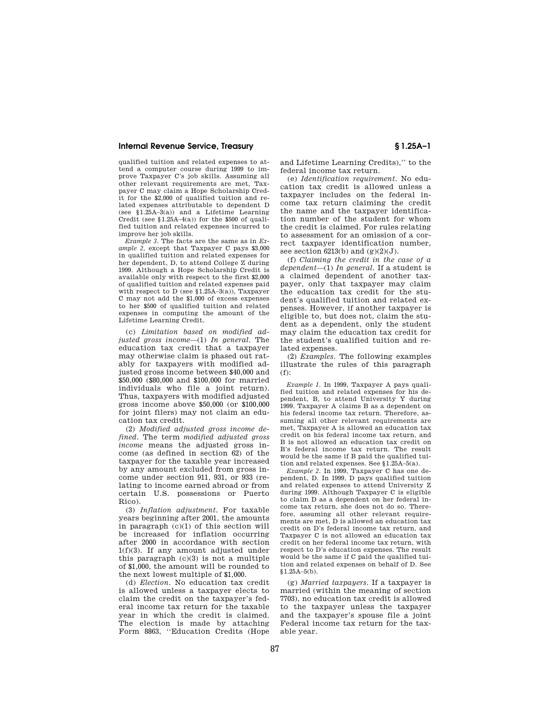## **Internal Revenue Service, Treasury § 1.25A–1**

qualified tuition and related expenses to attend a computer course during 1999 to improve Taxpayer C's job skills. Assuming all other relevant requirements are met, Taxpayer C may claim a Hope Scholarship Credit for the \$2,000 of qualified tuition and related expenses attributable to dependent D (see §1.25A–3(a)) and a Lifetime Learning Credit (see  $$1,25A-4(a)$ ) for the \$500 of qualified tuition and related expenses incurred to improve her job skills.

*Example 3.* The facts are the same as in *Example 2,* except that Taxpayer C pays \$3,000 in qualified tuition and related expenses for her dependent, D, to attend College Z during 1999. Although a Hope Scholarship Credit is available only with respect to the first \$2,000 of qualified tuition and related expenses paid with respect to  $D$  (see §1.25A–3(a)), Taxpayer C may not add the \$1,000 of excess expenses to her \$500 of qualified tuition and related expenses in computing the amount of the Lifetime Learning Credit.

(c) *Limitation based on modified adjusted gross income*—(1) *In general.* The education tax credit that a taxpayer may otherwise claim is phased out ratably for taxpayers with modified adjusted gross income between \$40,000 and \$50,000 (\$80,000 and \$100,000 for married individuals who file a joint return). Thus, taxpayers with modified adjusted gross income above \$50,000 (or \$100,000 for joint filers) may not claim an education tax credit.

(2) *Modified adjusted gross income defined.* The term *modified adjusted gross income* means the adjusted gross income (as defined in section 62) of the taxpayer for the taxable year increased by any amount excluded from gross income under section 911, 931, or 933 (relating to income earned abroad or from certain U.S. possessions or Puerto Rico).

(3) *Inflation adjustment.* For taxable years beginning after 2001, the amounts in paragraph (c)(1) of this section will be increased for inflation occurring after 2000 in accordance with section 1(f)(3). If any amount adjusted under this paragraph  $(c)(3)$  is not a multiple of \$1,000, the amount will be rounded to the next lowest multiple of \$1,000.

(d) *Election.* No education tax credit is allowed unless a taxpayer elects to claim the credit on the taxpayer's federal income tax return for the taxable year in which the credit is claimed. The election is made by attaching Form 8863, "Education Credits (Hope

and Lifetime Learning Credits),'' to the federal income tax return.

(e) *Identification requirement.* No education tax credit is allowed unless a taxpayer includes on the federal income tax return claiming the credit the name and the taxpayer identification number of the student for whom the credit is claimed. For rules relating to assessment for an omission of a correct taxpayer identification number, see section  $6213(b)$  and  $(g)(2)(J)$ .

(f) *Claiming the credit in the case of a dependent*—(1) *In general.* If a student is a claimed dependent of another taxpayer, only that taxpayer may claim the education tax credit for the student's qualified tuition and related expenses. However, if another taxpayer is eligible to, but does not, claim the student as a dependent, only the student may claim the education tax credit for the student's qualified tuition and related expenses.

(2) *Examples.* The following examples illustrate the rules of this paragraph (f):

*Example 1.* In 1999, Taxpayer A pays qualified tuition and related expenses for his dependent, B, to attend University Y during 1999. Taxpayer A claims B as a dependent on his federal income tax return. Therefore, assuming all other relevant requirements are met, Taxpayer A is allowed an education tax credit on his federal income tax return, and B is not allowed an education tax credit on B's federal income tax return. The result would be the same if B paid the qualified tuition and related expenses. See §1.25A–5(a).

*Example 2.* In 1999, Taxpayer C has one dependent, D. In 1999, D pays qualified tuition and related expenses to attend University Z during 1999. Although Taxpayer C is eligible to claim D as a dependent on her federal income tax return, she does not do so. Therefore, assuming all other relevant requirements are met, D is allowed an education tax credit on D's federal income tax return, and Taxpayer C is not allowed an education tax credit on her federal income tax return, with respect to D's education expenses. The result would be the same if C paid the qualified tuition and related expenses on behalf of D. See §1.25A–5(b).

(g) *Married taxpayers.* If a taxpayer is married (within the meaning of section 7703), no education tax credit is allowed to the taxpayer unless the taxpayer and the taxpayer's spouse file a joint Federal income tax return for the taxable year.